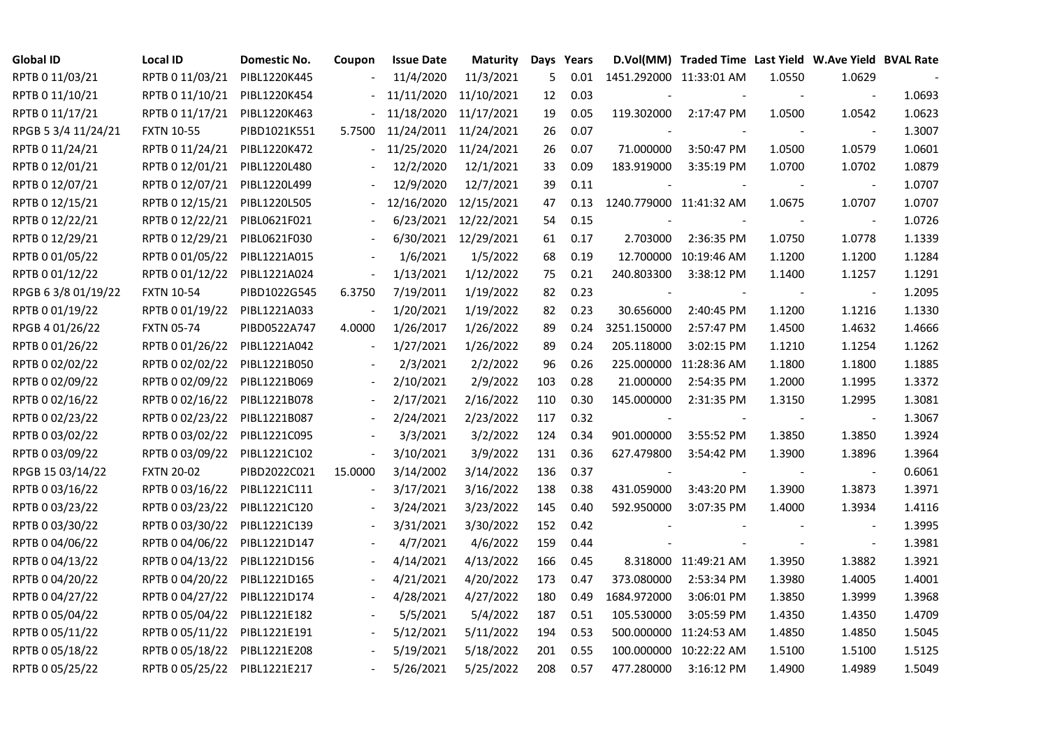| <b>Global ID</b>    | Local ID          | Domestic No. | Coupon                   | <b>Issue Date</b> | Maturity   | Days | Years |                         | D.Vol(MM) Traded Time Last Yield W.Ave Yield BVAL Rate |        |                          |        |
|---------------------|-------------------|--------------|--------------------------|-------------------|------------|------|-------|-------------------------|--------------------------------------------------------|--------|--------------------------|--------|
| RPTB 0 11/03/21     | RPTB 0 11/03/21   | PIBL1220K445 |                          | 11/4/2020         | 11/3/2021  | 5    | 0.01  | 1451.292000 11:33:01 AM |                                                        | 1.0550 | 1.0629                   |        |
| RPTB 0 11/10/21     | RPTB 0 11/10/21   | PIBL1220K454 |                          | 11/11/2020        | 11/10/2021 | 12   | 0.03  |                         |                                                        |        |                          | 1.0693 |
| RPTB 0 11/17/21     | RPTB 0 11/17/21   | PIBL1220K463 |                          | 11/18/2020        | 11/17/2021 | 19   | 0.05  | 119.302000              | 2:17:47 PM                                             | 1.0500 | 1.0542                   | 1.0623 |
| RPGB 5 3/4 11/24/21 | <b>FXTN 10-55</b> | PIBD1021K551 | 5.7500                   | 11/24/2011        | 11/24/2021 | 26   | 0.07  |                         |                                                        |        | $\blacksquare$           | 1.3007 |
| RPTB 0 11/24/21     | RPTB 0 11/24/21   | PIBL1220K472 | $\sim 10^{-1}$           | 11/25/2020        | 11/24/2021 | 26   | 0.07  | 71.000000               | 3:50:47 PM                                             | 1.0500 | 1.0579                   | 1.0601 |
| RPTB 0 12/01/21     | RPTB 0 12/01/21   | PIBL1220L480 |                          | 12/2/2020         | 12/1/2021  | 33   | 0.09  | 183.919000              | 3:35:19 PM                                             | 1.0700 | 1.0702                   | 1.0879 |
| RPTB 0 12/07/21     | RPTB 0 12/07/21   | PIBL1220L499 |                          | 12/9/2020         | 12/7/2021  | 39   | 0.11  | $\blacksquare$          |                                                        |        | $\overline{\phantom{a}}$ | 1.0707 |
| RPTB 0 12/15/21     | RPTB 0 12/15/21   | PIBL1220L505 |                          | 12/16/2020        | 12/15/2021 | 47   | 0.13  | 1240.779000 11:41:32 AM |                                                        | 1.0675 | 1.0707                   | 1.0707 |
| RPTB 0 12/22/21     | RPTB 0 12/22/21   | PIBL0621F021 |                          | 6/23/2021         | 12/22/2021 | 54   | 0.15  |                         |                                                        |        |                          | 1.0726 |
| RPTB 0 12/29/21     | RPTB 0 12/29/21   | PIBL0621F030 |                          | 6/30/2021         | 12/29/2021 | 61   | 0.17  | 2.703000                | 2:36:35 PM                                             | 1.0750 | 1.0778                   | 1.1339 |
| RPTB 0 01/05/22     | RPTB 0 01/05/22   | PIBL1221A015 |                          | 1/6/2021          | 1/5/2022   | 68   | 0.19  |                         | 12.700000 10:19:46 AM                                  | 1.1200 | 1.1200                   | 1.1284 |
| RPTB 0 01/12/22     | RPTB 0 01/12/22   | PIBL1221A024 |                          | 1/13/2021         | 1/12/2022  | 75   | 0.21  | 240.803300              | 3:38:12 PM                                             | 1.1400 | 1.1257                   | 1.1291 |
| RPGB 63/8 01/19/22  | <b>FXTN 10-54</b> | PIBD1022G545 | 6.3750                   | 7/19/2011         | 1/19/2022  | 82   | 0.23  |                         |                                                        |        | $\overline{\phantom{a}}$ | 1.2095 |
| RPTB 0 01/19/22     | RPTB 0 01/19/22   | PIBL1221A033 |                          | 1/20/2021         | 1/19/2022  | 82   | 0.23  | 30.656000               | 2:40:45 PM                                             | 1.1200 | 1.1216                   | 1.1330 |
| RPGB 4 01/26/22     | <b>FXTN 05-74</b> | PIBD0522A747 | 4.0000                   | 1/26/2017         | 1/26/2022  | 89   | 0.24  | 3251.150000             | 2:57:47 PM                                             | 1.4500 | 1.4632                   | 1.4666 |
| RPTB 0 01/26/22     | RPTB 0 01/26/22   | PIBL1221A042 |                          | 1/27/2021         | 1/26/2022  | 89   | 0.24  | 205.118000              | 3:02:15 PM                                             | 1.1210 | 1.1254                   | 1.1262 |
| RPTB 0 02/02/22     | RPTB 0 02/02/22   | PIBL1221B050 |                          | 2/3/2021          | 2/2/2022   | 96   | 0.26  |                         | 225.000000 11:28:36 AM                                 | 1.1800 | 1.1800                   | 1.1885 |
| RPTB 0 02/09/22     | RPTB 0 02/09/22   | PIBL1221B069 |                          | 2/10/2021         | 2/9/2022   | 103  | 0.28  | 21.000000               | 2:54:35 PM                                             | 1.2000 | 1.1995                   | 1.3372 |
| RPTB 0 02/16/22     | RPTB 0 02/16/22   | PIBL1221B078 |                          | 2/17/2021         | 2/16/2022  | 110  | 0.30  | 145.000000              | 2:31:35 PM                                             | 1.3150 | 1.2995                   | 1.3081 |
| RPTB 0 02/23/22     | RPTB 0 02/23/22   | PIBL1221B087 |                          | 2/24/2021         | 2/23/2022  | 117  | 0.32  |                         |                                                        |        | $\overline{\phantom{a}}$ | 1.3067 |
| RPTB 0 03/02/22     | RPTB 0 03/02/22   | PIBL1221C095 |                          | 3/3/2021          | 3/2/2022   | 124  | 0.34  | 901.000000              | 3:55:52 PM                                             | 1.3850 | 1.3850                   | 1.3924 |
| RPTB 0 03/09/22     | RPTB 0 03/09/22   | PIBL1221C102 | $\overline{\phantom{a}}$ | 3/10/2021         | 3/9/2022   | 131  | 0.36  | 627.479800              | 3:54:42 PM                                             | 1.3900 | 1.3896                   | 1.3964 |
| RPGB 15 03/14/22    | <b>FXTN 20-02</b> | PIBD2022C021 | 15.0000                  | 3/14/2002         | 3/14/2022  | 136  | 0.37  |                         |                                                        |        |                          | 0.6061 |
| RPTB 0 03/16/22     | RPTB 0 03/16/22   | PIBL1221C111 |                          | 3/17/2021         | 3/16/2022  | 138  | 0.38  | 431.059000              | 3:43:20 PM                                             | 1.3900 | 1.3873                   | 1.3971 |
| RPTB 0 03/23/22     | RPTB 0 03/23/22   | PIBL1221C120 |                          | 3/24/2021         | 3/23/2022  | 145  | 0.40  | 592.950000              | 3:07:35 PM                                             | 1.4000 | 1.3934                   | 1.4116 |
| RPTB 0 03/30/22     | RPTB 0 03/30/22   | PIBL1221C139 |                          | 3/31/2021         | 3/30/2022  | 152  | 0.42  |                         |                                                        |        |                          | 1.3995 |
| RPTB 0 04/06/22     | RPTB 0 04/06/22   | PIBL1221D147 |                          | 4/7/2021          | 4/6/2022   | 159  | 0.44  |                         |                                                        |        | $\blacksquare$           | 1.3981 |
| RPTB 0 04/13/22     | RPTB 0 04/13/22   | PIBL1221D156 |                          | 4/14/2021         | 4/13/2022  | 166  | 0.45  |                         | 8.318000 11:49:21 AM                                   | 1.3950 | 1.3882                   | 1.3921 |
| RPTB 0 04/20/22     | RPTB 0 04/20/22   | PIBL1221D165 |                          | 4/21/2021         | 4/20/2022  | 173  | 0.47  | 373.080000              | 2:53:34 PM                                             | 1.3980 | 1.4005                   | 1.4001 |
| RPTB 0 04/27/22     | RPTB 0 04/27/22   | PIBL1221D174 |                          | 4/28/2021         | 4/27/2022  | 180  | 0.49  | 1684.972000             | 3:06:01 PM                                             | 1.3850 | 1.3999                   | 1.3968 |
| RPTB 0 05/04/22     | RPTB 0 05/04/22   | PIBL1221E182 |                          | 5/5/2021          | 5/4/2022   | 187  | 0.51  | 105.530000              | 3:05:59 PM                                             | 1.4350 | 1.4350                   | 1.4709 |
| RPTB 0 05/11/22     | RPTB 0 05/11/22   | PIBL1221E191 |                          | 5/12/2021         | 5/11/2022  | 194  | 0.53  |                         | 500.000000 11:24:53 AM                                 | 1.4850 | 1.4850                   | 1.5045 |
| RPTB 0 05/18/22     | RPTB 0 05/18/22   | PIBL1221E208 |                          | 5/19/2021         | 5/18/2022  | 201  | 0.55  |                         | 100.000000 10:22:22 AM                                 | 1.5100 | 1.5100                   | 1.5125 |
| RPTB 0 05/25/22     | RPTB 0 05/25/22   | PIBL1221E217 |                          | 5/26/2021         | 5/25/2022  | 208  | 0.57  | 477.280000              | 3:16:12 PM                                             | 1.4900 | 1.4989                   | 1.5049 |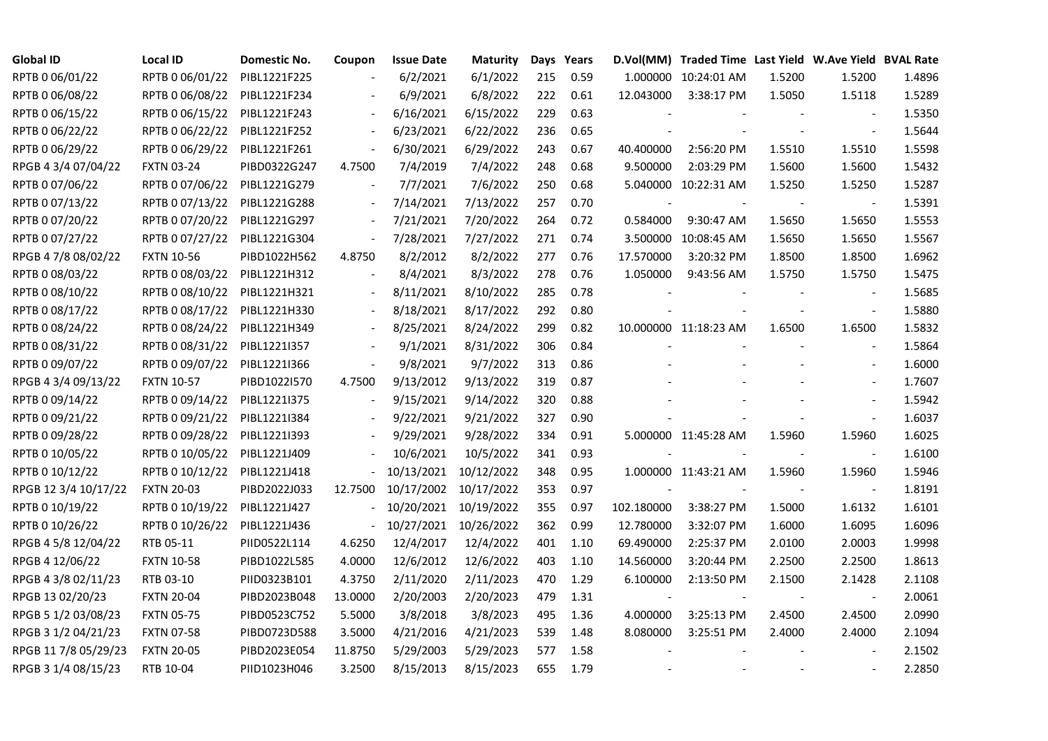| <b>Global ID</b>     | Local ID          | Domestic No. | Coupon                   | <b>Issue Date</b> | <b>Maturity</b> |     | Days Years |            | D.Vol(MM) Traded Time Last Yield W.Ave Yield BVAL Rate |        |                          |        |
|----------------------|-------------------|--------------|--------------------------|-------------------|-----------------|-----|------------|------------|--------------------------------------------------------|--------|--------------------------|--------|
| RPTB 0 06/01/22      | RPTB 0 06/01/22   | PIBL1221F225 |                          | 6/2/2021          | 6/1/2022        | 215 | 0.59       |            | 1.000000 10:24:01 AM                                   | 1.5200 | 1.5200                   | 1.4896 |
| RPTB 0 06/08/22      | RPTB 0 06/08/22   | PIBL1221F234 |                          | 6/9/2021          | 6/8/2022        | 222 | 0.61       | 12.043000  | 3:38:17 PM                                             | 1.5050 | 1.5118                   | 1.5289 |
| RPTB 0 06/15/22      | RPTB 0 06/15/22   | PIBL1221F243 | $\overline{\phantom{a}}$ | 6/16/2021         | 6/15/2022       | 229 | 0.63       |            |                                                        |        | $\blacksquare$           | 1.5350 |
| RPTB 0 06/22/22      | RPTB 0 06/22/22   | PIBL1221F252 | $\blacksquare$           | 6/23/2021         | 6/22/2022       | 236 | 0.65       |            |                                                        |        | $\blacksquare$           | 1.5644 |
| RPTB 0 06/29/22      | RPTB 0 06/29/22   | PIBL1221F261 | $\blacksquare$           | 6/30/2021         | 6/29/2022       | 243 | 0.67       | 40.400000  | 2:56:20 PM                                             | 1.5510 | 1.5510                   | 1.5598 |
| RPGB 4 3/4 07/04/22  | <b>FXTN 03-24</b> | PIBD0322G247 | 4.7500                   | 7/4/2019          | 7/4/2022        | 248 | 0.68       | 9.500000   | 2:03:29 PM                                             | 1.5600 | 1.5600                   | 1.5432 |
| RPTB 0 07/06/22      | RPTB 0 07/06/22   | PIBL1221G279 | $\overline{\phantom{a}}$ | 7/7/2021          | 7/6/2022        | 250 | 0.68       |            | 5.040000 10:22:31 AM                                   | 1.5250 | 1.5250                   | 1.5287 |
| RPTB 0 07/13/22      | RPTB 0 07/13/22   | PIBL1221G288 |                          | 7/14/2021         | 7/13/2022       | 257 | 0.70       |            |                                                        |        |                          | 1.5391 |
| RPTB 0 07/20/22      | RPTB 0 07/20/22   | PIBL1221G297 |                          | 7/21/2021         | 7/20/2022       | 264 | 0.72       | 0.584000   | 9:30:47 AM                                             | 1.5650 | 1.5650                   | 1.5553 |
| RPTB 0 07/27/22      | RPTB 0 07/27/22   | PIBL1221G304 | $\blacksquare$           | 7/28/2021         | 7/27/2022       | 271 | 0.74       | 3.500000   | 10:08:45 AM                                            | 1.5650 | 1.5650                   | 1.5567 |
| RPGB 4 7/8 08/02/22  | <b>FXTN 10-56</b> | PIBD1022H562 | 4.8750                   | 8/2/2012          | 8/2/2022        | 277 | 0.76       | 17.570000  | 3:20:32 PM                                             | 1.8500 | 1.8500                   | 1.6962 |
| RPTB 0 08/03/22      | RPTB 0 08/03/22   | PIBL1221H312 | $\overline{\phantom{a}}$ | 8/4/2021          | 8/3/2022        | 278 | 0.76       | 1.050000   | 9:43:56 AM                                             | 1.5750 | 1.5750                   | 1.5475 |
| RPTB 0 08/10/22      | RPTB 0 08/10/22   | PIBL1221H321 |                          | 8/11/2021         | 8/10/2022       | 285 | 0.78       |            |                                                        |        | $\overline{\phantom{a}}$ | 1.5685 |
| RPTB 0 08/17/22      | RPTB 0 08/17/22   | PIBL1221H330 |                          | 8/18/2021         | 8/17/2022       | 292 | 0.80       |            |                                                        |        | $\blacksquare$           | 1.5880 |
| RPTB 0 08/24/22      | RPTB 0 08/24/22   | PIBL1221H349 |                          | 8/25/2021         | 8/24/2022       | 299 | 0.82       |            | 10.000000 11:18:23 AM                                  | 1.6500 | 1.6500                   | 1.5832 |
| RPTB 0 08/31/22      | RPTB 0 08/31/22   | PIBL1221I357 |                          | 9/1/2021          | 8/31/2022       | 306 | 0.84       |            |                                                        |        |                          | 1.5864 |
| RPTB 0 09/07/22      | RPTB 0 09/07/22   | PIBL1221I366 | $\overline{\phantom{a}}$ | 9/8/2021          | 9/7/2022        | 313 | 0.86       |            |                                                        |        | $\overline{\phantom{a}}$ | 1.6000 |
| RPGB 4 3/4 09/13/22  | <b>FXTN 10-57</b> | PIBD1022I570 | 4.7500                   | 9/13/2012         | 9/13/2022       | 319 | 0.87       |            |                                                        |        | $\overline{\phantom{a}}$ | 1.7607 |
| RPTB 0 09/14/22      | RPTB 0 09/14/22   | PIBL1221I375 | $\blacksquare$           | 9/15/2021         | 9/14/2022       | 320 | 0.88       |            |                                                        |        |                          | 1.5942 |
| RPTB 0 09/21/22      | RPTB 0 09/21/22   | PIBL1221I384 |                          | 9/22/2021         | 9/21/2022       | 327 | 0.90       |            |                                                        |        | $\blacksquare$           | 1.6037 |
| RPTB 0 09/28/22      | RPTB 0 09/28/22   | PIBL1221I393 |                          | 9/29/2021         | 9/28/2022       | 334 | 0.91       |            | 5.000000 11:45:28 AM                                   | 1.5960 | 1.5960                   | 1.6025 |
| RPTB 0 10/05/22      | RPTB 0 10/05/22   | PIBL1221J409 |                          | 10/6/2021         | 10/5/2022       | 341 | 0.93       |            |                                                        |        | $\blacksquare$           | 1.6100 |
| RPTB 0 10/12/22      | RPTB 0 10/12/22   | PIBL1221J418 |                          | 10/13/2021        | 10/12/2022      | 348 | 0.95       |            | 1.000000 11:43:21 AM                                   | 1.5960 | 1.5960                   | 1.5946 |
| RPGB 12 3/4 10/17/22 | <b>FXTN 20-03</b> | PIBD2022J033 | 12.7500                  | 10/17/2002        | 10/17/2022      | 353 | 0.97       |            |                                                        |        |                          | 1.8191 |
| RPTB 0 10/19/22      | RPTB 0 10/19/22   | PIBL1221J427 | $\blacksquare$           | 10/20/2021        | 10/19/2022      | 355 | 0.97       | 102.180000 | 3:38:27 PM                                             | 1.5000 | 1.6132                   | 1.6101 |
| RPTB 0 10/26/22      | RPTB 0 10/26/22   | PIBL1221J436 | $\omega_{\rm c}$         | 10/27/2021        | 10/26/2022      | 362 | 0.99       | 12.780000  | 3:32:07 PM                                             | 1.6000 | 1.6095                   | 1.6096 |
| RPGB 4 5/8 12/04/22  | RTB 05-11         | PIID0522L114 | 4.6250                   | 12/4/2017         | 12/4/2022       | 401 | 1.10       | 69.490000  | 2:25:37 PM                                             | 2.0100 | 2.0003                   | 1.9998 |
| RPGB 4 12/06/22      | <b>FXTN 10-58</b> | PIBD1022L585 | 4.0000                   | 12/6/2012         | 12/6/2022       | 403 | 1.10       | 14.560000  | 3:20:44 PM                                             | 2.2500 | 2.2500                   | 1.8613 |
| RPGB 4 3/8 02/11/23  | RTB 03-10         | PIID0323B101 | 4.3750                   | 2/11/2020         | 2/11/2023       | 470 | 1.29       | 6.100000   | 2:13:50 PM                                             | 2.1500 | 2.1428                   | 2.1108 |
| RPGB 13 02/20/23     | <b>FXTN 20-04</b> | PIBD2023B048 | 13.0000                  | 2/20/2003         | 2/20/2023       | 479 | 1.31       |            |                                                        |        |                          | 2.0061 |
| RPGB 5 1/2 03/08/23  | <b>FXTN 05-75</b> | PIBD0523C752 | 5.5000                   | 3/8/2018          | 3/8/2023        | 495 | 1.36       | 4.000000   | 3:25:13 PM                                             | 2.4500 | 2.4500                   | 2.0990 |
| RPGB 3 1/2 04/21/23  | <b>FXTN 07-58</b> | PIBD0723D588 | 3.5000                   | 4/21/2016         | 4/21/2023       | 539 | 1.48       | 8.080000   | 3:25:51 PM                                             | 2.4000 | 2.4000                   | 2.1094 |
| RPGB 11 7/8 05/29/23 | <b>FXTN 20-05</b> | PIBD2023E054 | 11.8750                  | 5/29/2003         | 5/29/2023       | 577 | 1.58       |            |                                                        |        |                          | 2.1502 |
| RPGB 3 1/4 08/15/23  | RTB 10-04         | PIID1023H046 | 3.2500                   | 8/15/2013         | 8/15/2023       | 655 | 1.79       |            |                                                        |        | $\blacksquare$           | 2.2850 |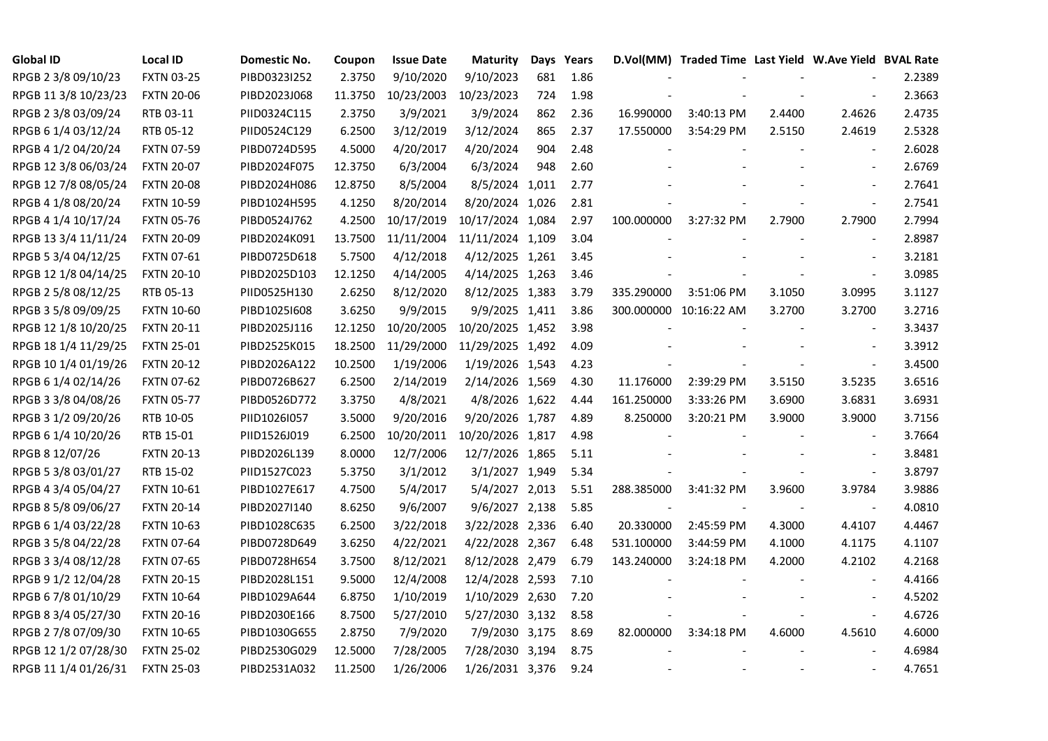| <b>Global ID</b>     | <b>Local ID</b>   | Domestic No. | Coupon  | <b>Issue Date</b> | <b>Maturity</b>  |     | Days Years |            | D.Vol(MM) Traded Time Last Yield W.Ave Yield BVAL Rate |        |                          |        |
|----------------------|-------------------|--------------|---------|-------------------|------------------|-----|------------|------------|--------------------------------------------------------|--------|--------------------------|--------|
| RPGB 2 3/8 09/10/23  | <b>FXTN 03-25</b> | PIBD0323I252 | 2.3750  | 9/10/2020         | 9/10/2023        | 681 | 1.86       |            |                                                        |        |                          | 2.2389 |
| RPGB 11 3/8 10/23/23 | <b>FXTN 20-06</b> | PIBD2023J068 | 11.3750 | 10/23/2003        | 10/23/2023       | 724 | 1.98       |            |                                                        |        |                          | 2.3663 |
| RPGB 2 3/8 03/09/24  | RTB 03-11         | PIID0324C115 | 2.3750  | 3/9/2021          | 3/9/2024         | 862 | 2.36       | 16.990000  | 3:40:13 PM                                             | 2.4400 | 2.4626                   | 2.4735 |
| RPGB 6 1/4 03/12/24  | RTB 05-12         | PIID0524C129 | 6.2500  | 3/12/2019         | 3/12/2024        | 865 | 2.37       | 17.550000  | 3:54:29 PM                                             | 2.5150 | 2.4619                   | 2.5328 |
| RPGB 4 1/2 04/20/24  | <b>FXTN 07-59</b> | PIBD0724D595 | 4.5000  | 4/20/2017         | 4/20/2024        | 904 | 2.48       |            |                                                        |        | $\blacksquare$           | 2.6028 |
| RPGB 12 3/8 06/03/24 | <b>FXTN 20-07</b> | PIBD2024F075 | 12.3750 | 6/3/2004          | 6/3/2024         | 948 | 2.60       |            |                                                        |        | $\blacksquare$           | 2.6769 |
| RPGB 12 7/8 08/05/24 | <b>FXTN 20-08</b> | PIBD2024H086 | 12.8750 | 8/5/2004          | 8/5/2024 1,011   |     | 2.77       |            |                                                        |        | $\overline{\phantom{a}}$ | 2.7641 |
| RPGB 4 1/8 08/20/24  | <b>FXTN 10-59</b> | PIBD1024H595 | 4.1250  | 8/20/2014         | 8/20/2024 1,026  |     | 2.81       |            |                                                        |        | $\overline{\phantom{a}}$ | 2.7541 |
| RPGB 4 1/4 10/17/24  | <b>FXTN 05-76</b> | PIBD0524J762 | 4.2500  | 10/17/2019        | 10/17/2024 1,084 |     | 2.97       | 100.000000 | 3:27:32 PM                                             | 2.7900 | 2.7900                   | 2.7994 |
| RPGB 13 3/4 11/11/24 | <b>FXTN 20-09</b> | PIBD2024K091 | 13.7500 | 11/11/2004        | 11/11/2024 1,109 |     | 3.04       |            |                                                        |        | $\overline{\phantom{a}}$ | 2.8987 |
| RPGB 5 3/4 04/12/25  | <b>FXTN 07-61</b> | PIBD0725D618 | 5.7500  | 4/12/2018         | 4/12/2025 1,261  |     | 3.45       |            |                                                        |        | $\overline{\phantom{a}}$ | 3.2181 |
| RPGB 12 1/8 04/14/25 | <b>FXTN 20-10</b> | PIBD2025D103 | 12.1250 | 4/14/2005         | 4/14/2025 1,263  |     | 3.46       |            |                                                        |        | $\blacksquare$           | 3.0985 |
| RPGB 2 5/8 08/12/25  | RTB 05-13         | PIID0525H130 | 2.6250  | 8/12/2020         | 8/12/2025 1,383  |     | 3.79       | 335.290000 | 3:51:06 PM                                             | 3.1050 | 3.0995                   | 3.1127 |
| RPGB 3 5/8 09/09/25  | <b>FXTN 10-60</b> | PIBD10251608 | 3.6250  | 9/9/2015          | 9/9/2025 1,411   |     | 3.86       |            | 300.000000 10:16:22 AM                                 | 3.2700 | 3.2700                   | 3.2716 |
| RPGB 12 1/8 10/20/25 | <b>FXTN 20-11</b> | PIBD2025J116 | 12.1250 | 10/20/2005        | 10/20/2025 1,452 |     | 3.98       |            |                                                        |        | $\sim$                   | 3.3437 |
| RPGB 18 1/4 11/29/25 | <b>FXTN 25-01</b> | PIBD2525K015 | 18.2500 | 11/29/2000        | 11/29/2025 1,492 |     | 4.09       |            |                                                        |        | $\sim$                   | 3.3912 |
| RPGB 10 1/4 01/19/26 | <b>FXTN 20-12</b> | PIBD2026A122 | 10.2500 | 1/19/2006         | 1/19/2026 1,543  |     | 4.23       |            |                                                        |        | $\overline{\phantom{a}}$ | 3.4500 |
| RPGB 6 1/4 02/14/26  | <b>FXTN 07-62</b> | PIBD0726B627 | 6.2500  | 2/14/2019         | 2/14/2026 1,569  |     | 4.30       | 11.176000  | 2:39:29 PM                                             | 3.5150 | 3.5235                   | 3.6516 |
| RPGB 3 3/8 04/08/26  | <b>FXTN 05-77</b> | PIBD0526D772 | 3.3750  | 4/8/2021          | 4/8/2026 1,622   |     | 4.44       | 161.250000 | 3:33:26 PM                                             | 3.6900 | 3.6831                   | 3.6931 |
| RPGB 3 1/2 09/20/26  | RTB 10-05         | PIID1026I057 | 3.5000  | 9/20/2016         | 9/20/2026 1,787  |     | 4.89       | 8.250000   | 3:20:21 PM                                             | 3.9000 | 3.9000                   | 3.7156 |
| RPGB 6 1/4 10/20/26  | RTB 15-01         | PIID1526J019 | 6.2500  | 10/20/2011        | 10/20/2026 1,817 |     | 4.98       |            |                                                        |        | $\overline{\phantom{a}}$ | 3.7664 |
| RPGB 8 12/07/26      | <b>FXTN 20-13</b> | PIBD2026L139 | 8.0000  | 12/7/2006         | 12/7/2026 1,865  |     | 5.11       |            |                                                        |        | $\sim$                   | 3.8481 |
| RPGB 5 3/8 03/01/27  | RTB 15-02         | PIID1527C023 | 5.3750  | 3/1/2012          | 3/1/2027 1,949   |     | 5.34       |            |                                                        |        | $\overline{\phantom{a}}$ | 3.8797 |
| RPGB 4 3/4 05/04/27  | <b>FXTN 10-61</b> | PIBD1027E617 | 4.7500  | 5/4/2017          | 5/4/2027 2,013   |     | 5.51       | 288.385000 | 3:41:32 PM                                             | 3.9600 | 3.9784                   | 3.9886 |
| RPGB 8 5/8 09/06/27  | <b>FXTN 20-14</b> | PIBD2027I140 | 8.6250  | 9/6/2007          | 9/6/2027 2,138   |     | 5.85       |            |                                                        |        | $\blacksquare$           | 4.0810 |
| RPGB 6 1/4 03/22/28  | <b>FXTN 10-63</b> | PIBD1028C635 | 6.2500  | 3/22/2018         | 3/22/2028 2,336  |     | 6.40       | 20.330000  | 2:45:59 PM                                             | 4.3000 | 4.4107                   | 4.4467 |
| RPGB 3 5/8 04/22/28  | <b>FXTN 07-64</b> | PIBD0728D649 | 3.6250  | 4/22/2021         | 4/22/2028 2,367  |     | 6.48       | 531.100000 | 3:44:59 PM                                             | 4.1000 | 4.1175                   | 4.1107 |
| RPGB 3 3/4 08/12/28  | <b>FXTN 07-65</b> | PIBD0728H654 | 3.7500  | 8/12/2021         | 8/12/2028 2,479  |     | 6.79       | 143.240000 | 3:24:18 PM                                             | 4.2000 | 4.2102                   | 4.2168 |
| RPGB 9 1/2 12/04/28  | <b>FXTN 20-15</b> | PIBD2028L151 | 9.5000  | 12/4/2008         | 12/4/2028 2,593  |     | 7.10       |            |                                                        |        |                          | 4.4166 |
| RPGB 67/8 01/10/29   | <b>FXTN 10-64</b> | PIBD1029A644 | 6.8750  | 1/10/2019         | 1/10/2029 2,630  |     | 7.20       |            |                                                        |        |                          | 4.5202 |
| RPGB 8 3/4 05/27/30  | <b>FXTN 20-16</b> | PIBD2030E166 | 8.7500  | 5/27/2010         | 5/27/2030 3,132  |     | 8.58       |            |                                                        |        | $\sim$                   | 4.6726 |
| RPGB 2 7/8 07/09/30  | <b>FXTN 10-65</b> | PIBD1030G655 | 2.8750  | 7/9/2020          | 7/9/2030 3,175   |     | 8.69       | 82.000000  | 3:34:18 PM                                             | 4.6000 | 4.5610                   | 4.6000 |
| RPGB 12 1/2 07/28/30 | <b>FXTN 25-02</b> | PIBD2530G029 | 12.5000 | 7/28/2005         | 7/28/2030 3,194  |     | 8.75       |            |                                                        |        |                          | 4.6984 |
| RPGB 11 1/4 01/26/31 | <b>FXTN 25-03</b> | PIBD2531A032 | 11.2500 | 1/26/2006         | 1/26/2031 3,376  |     | 9.24       |            |                                                        |        | $\blacksquare$           | 4.7651 |